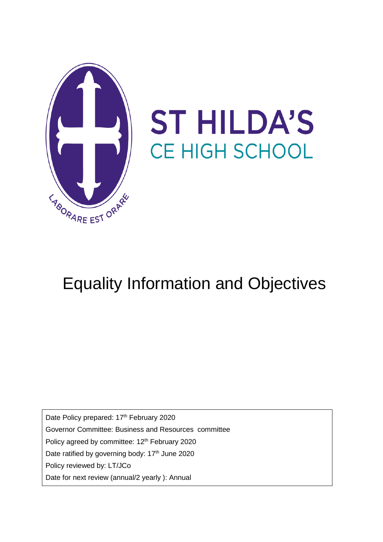

# **ST HILDA'S** CE HIGH SCHOOL

# Equality Information and Objectives

Date Policy prepared: 17<sup>th</sup> February 2020

Governor Committee: Business and Resources committee

Policy agreed by committee: 12<sup>th</sup> February 2020

Date ratified by governing body: 17<sup>th</sup> June 2020

Policy reviewed by: LT/JCo

Date for next review (annual/2 yearly ): Annual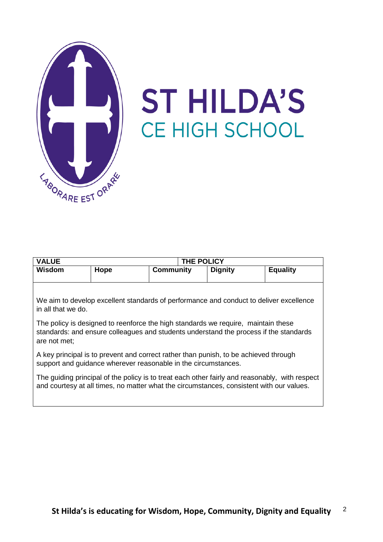

# **ST HILDA'S** CE HIGH SCHOOL

| <b>VALUE</b>                                                                           |      |                  | THE POLICY     |                 |  |
|----------------------------------------------------------------------------------------|------|------------------|----------------|-----------------|--|
| <b>Wisdom</b>                                                                          | Hope | <b>Community</b> | <b>Dignity</b> | <b>Equality</b> |  |
|                                                                                        |      |                  |                |                 |  |
|                                                                                        |      |                  |                |                 |  |
|                                                                                        |      |                  |                |                 |  |
| We aim to develop excellent standards of performance and conduct to deliver excellence |      |                  |                |                 |  |
| in all that we do.                                                                     |      |                  |                |                 |  |

The policy is designed to reenforce the high standards we require, maintain these standards: and ensure colleagues and students understand the process if the standards are not met;

A key principal is to prevent and correct rather than punish, to be achieved through support and guidance wherever reasonable in the circumstances.

The guiding principal of the policy is to treat each other fairly and reasonably, with respect and courtesy at all times, no matter what the circumstances, consistent with our values.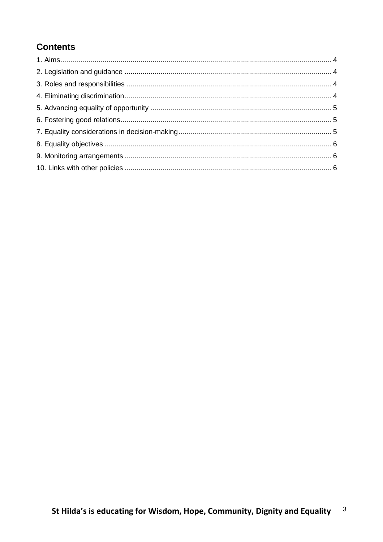# **Contents**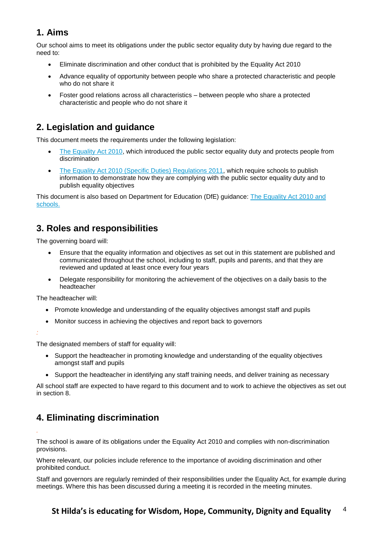## **1. Aims**

Our school aims to meet its obligations under the public sector equality duty by having due regard to the need to:

- Eliminate discrimination and other conduct that is prohibited by the Equality Act 2010
- Advance equality of opportunity between people who share a protected characteristic and people who do not share it
- Foster good relations across all characteristics between people who share a protected characteristic and people who do not share it

## **2. Legislation and guidance**

This document meets the requirements under the following legislation:

- [The Equality Act 2010,](http://www.legislation.gov.uk/ukpga/2010/15/contents) which introduced the public sector equality duty and protects people from discrimination
- [The Equality Act 2010 \(Specific Duties\) Regulations 2011,](http://www.legislation.gov.uk/uksi/2011/2260/contents/made) which require schools to publish information to demonstrate how they are complying with the public sector equality duty and to publish equality objectives

This document is also based on Department for Education (DfE) guidance: [The Equality Act 2010 and](https://www.gov.uk/government/uploads/system/uploads/attachment_data/file/315587/Equality_Act_Advice_Final.pdf)  [schools.](https://www.gov.uk/government/uploads/system/uploads/attachment_data/file/315587/Equality_Act_Advice_Final.pdf) 

#### **3. Roles and responsibilities**

The governing board will:

- Ensure that the equality information and objectives as set out in this statement are published and communicated throughout the school, including to staff, pupils and parents, and that they are reviewed and updated at least once every four years
- Delegate responsibility for monitoring the achievement of the objectives on a daily basis to the headteacher

The headteacher will:

- Promote knowledge and understanding of the equality objectives amongst staff and pupils
- Monitor success in achieving the objectives and report back to governors

*:*

*.*

The designated members of staff for equality will:

- Support the headteacher in promoting knowledge and understanding of the equality objectives amongst staff and pupils
- Support the headteacher in identifying any staff training needs, and deliver training as necessary

All school staff are expected to have regard to this document and to work to achieve the objectives as set out in section 8.

# **4. Eliminating discrimination**

The school is aware of its obligations under the Equality Act 2010 and complies with non-discrimination provisions.

Where relevant, our policies include reference to the importance of avoiding discrimination and other prohibited conduct.

Staff and governors are regularly reminded of their responsibilities under the Equality Act, for example during meetings. Where this has been discussed during a meeting it is recorded in the meeting minutes.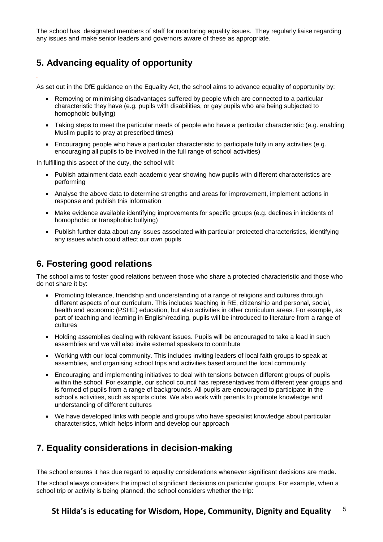The school has designated members of staff for monitoring equality issues. They regularly liaise regarding any issues and make senior leaders and governors aware of these as appropriate.

#### **5. Advancing equality of opportunity**

*.*

As set out in the DfE guidance on the Equality Act, the school aims to advance equality of opportunity by:

- Removing or minimising disadvantages suffered by people which are connected to a particular characteristic they have (e.g. pupils with disabilities, or gay pupils who are being subjected to homophobic bullying)
- Taking steps to meet the particular needs of people who have a particular characteristic (e.g. enabling Muslim pupils to pray at prescribed times)
- Encouraging people who have a particular characteristic to participate fully in any activities (e.g. encouraging all pupils to be involved in the full range of school activities)

In fulfilling this aspect of the duty, the school will:

- Publish attainment data each academic year showing how pupils with different characteristics are performing
- Analyse the above data to determine strengths and areas for improvement, implement actions in response and publish this information
- Make evidence available identifying improvements for specific groups (e.g. declines in incidents of homophobic or transphobic bullying)
- Publish further data about any issues associated with particular protected characteristics, identifying any issues which could affect our own pupils

#### **6. Fostering good relations**

The school aims to foster good relations between those who share a protected characteristic and those who do not share it by:

- Promoting tolerance, friendship and understanding of a range of religions and cultures through different aspects of our curriculum. This includes teaching in RE, citizenship and personal, social, health and economic (PSHE) education, but also activities in other curriculum areas. For example, as part of teaching and learning in English/reading, pupils will be introduced to literature from a range of cultures
- Holding assemblies dealing with relevant issues. Pupils will be encouraged to take a lead in such assemblies and we will also invite external speakers to contribute
- Working with our local community. This includes inviting leaders of local faith groups to speak at assemblies, and organising school trips and activities based around the local community
- Encouraging and implementing initiatives to deal with tensions between different groups of pupils within the school. For example, our school council has representatives from different year groups and is formed of pupils from a range of backgrounds. All pupils are encouraged to participate in the school's activities, such as sports clubs. We also work with parents to promote knowledge and understanding of different cultures
- We have developed links with people and groups who have specialist knowledge about particular characteristics, which helps inform and develop our approach

#### **7. Equality considerations in decision-making**

The school ensures it has due regard to equality considerations whenever significant decisions are made.

The school always considers the impact of significant decisions on particular groups. For example, when a school trip or activity is being planned, the school considers whether the trip: